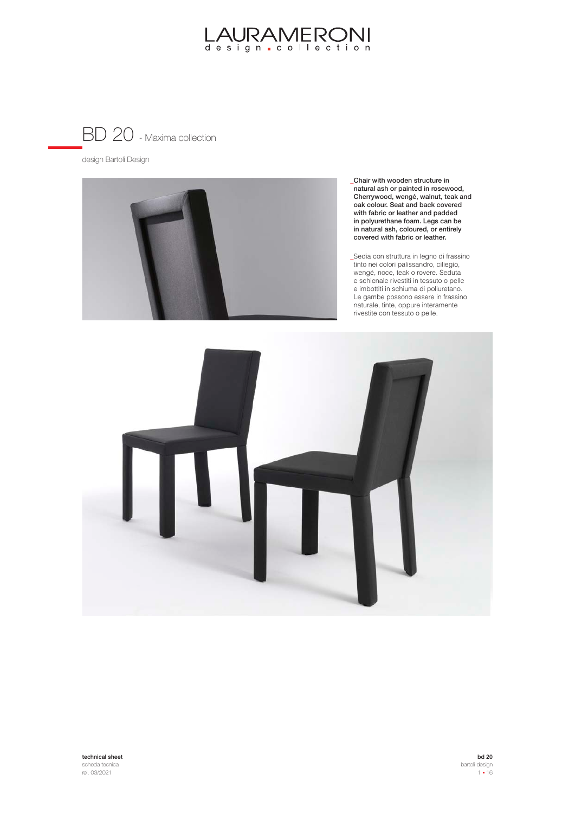

design Bartoli Design



Chair with wooden structure in **\_** natural ash or painted in rosewood, Cherrywood, wengé, walnut, teak and oak colour. Seat and back covered with fabric or leather and padded in polyurethane foam. Legs can be in natural ash, coloured, or entirely covered with fabric or leather.

Sedia con struttura in legno di frassino tinto nei colori palissandro, ciliegio, wengé, noce, teak o rovere. Seduta e schienale rivestiti in tessuto o pelle e imbottiti in schiuma di poliuretano. Le gambe possono essere in frassino naturale, tinte, oppure interamente rivestite con tessuto o pelle.

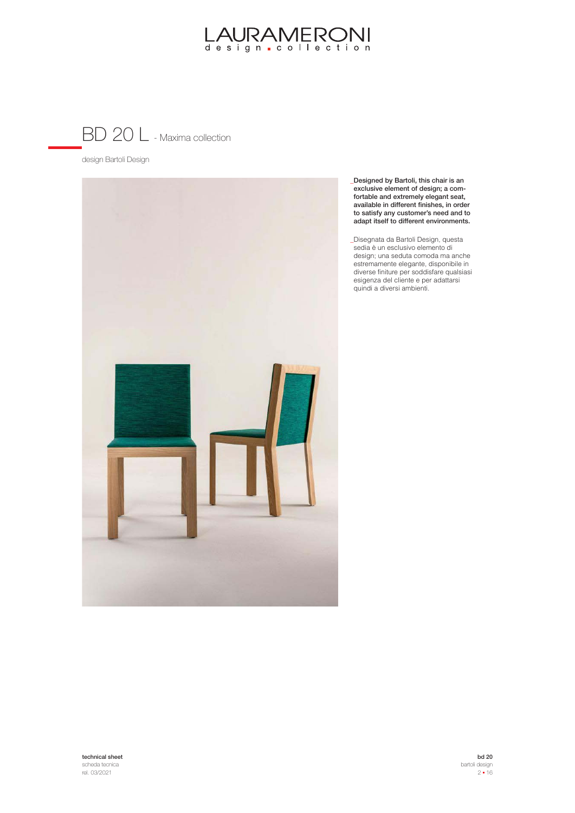

design Bartoli Design



Designed by Bartoli, this chair is an **\_** exclusive element of design; a comfortable and extremely elegant seat, available in different finishes, in order to satisfy any customer's need and to adapt itself to different environments.

Disegnata da Bartoli Design, questa sedia è un esclusivo elemento di design; una seduta comoda ma anche estremamente elegante, disponibile in diverse finiture per soddisfare qualsiasi esigenza del cliente e per adattarsi quindi a diversi ambienti.

technical sheet scheda tecnica rel. 03/2021

bd 20 bartoli design  $2 - 16$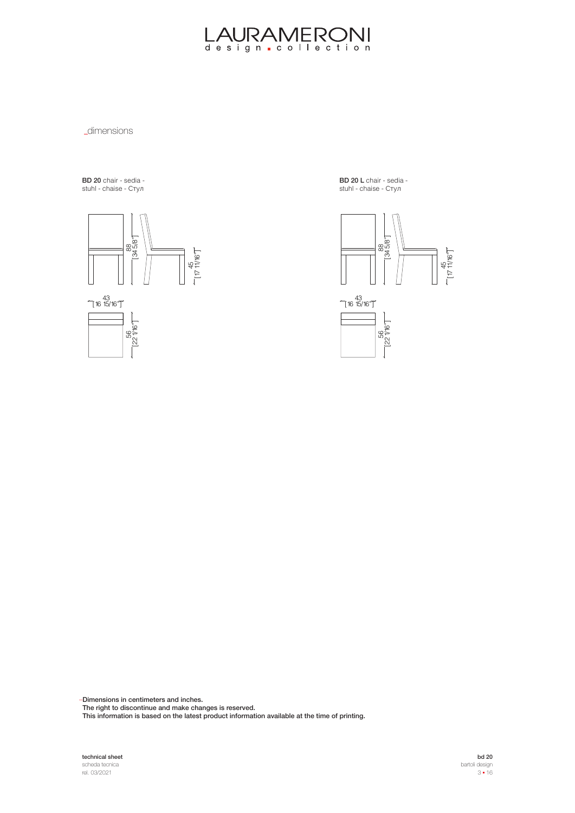**\_dimensions** 

BD 20 chair - sedia **вь zo** onair - scala<br>stuhl - chaise - Стул



BD 20 L chair - sedia -**БВ 20 2** онын соол<br>stuhl - chaise - Стул



Dimensions in centimeters and inches. **\_**

The right to discontinue and make changes is reserved.

This information is based on the latest product information available at the time of printing.

technical sheet scheda tecnica rel. 03/2021

bd 20 bartoli design  $3 - 16$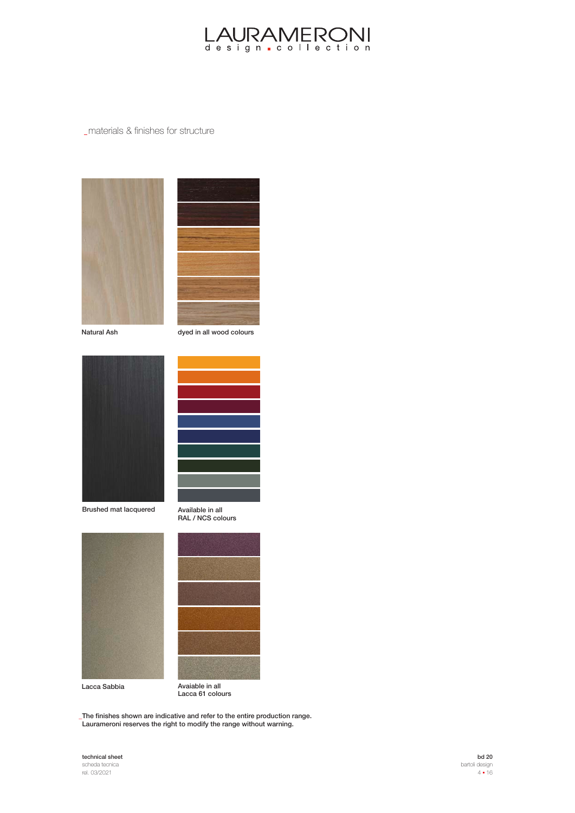

#### materials & finishes for structure





Natural Ash dyed in all wood colours



Brushed mat lacquered



Available in all RAL / NCS colours





Lacca 61 colours

The finishes shown are indicative and refer to the entire production range. **\_** Laurameroni reserves the right to modify the range without warning.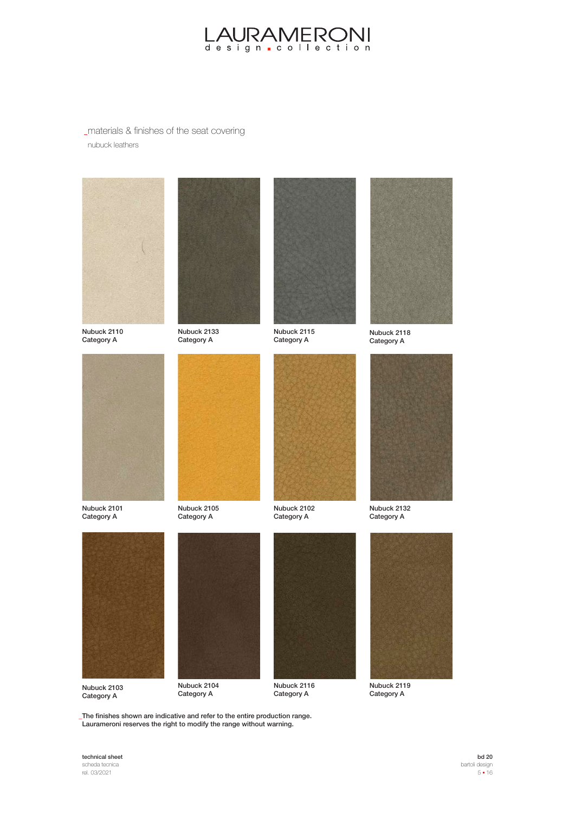

# materials & finishes of the seat covering nubuck leathers







Nubuck 2133 Category A



Nubuck 2115 Category A



Nubuck 2118 Category A



Nubuck 2101 Category A



Nubuck 2105 Category A



Category A



Category A



Nubuck 2103 Category A



Nubuck 2104 Category A



Nubuck 2116 Category A



Nubuck 2119 Category A

The finishes shown are indicative and refer to the entire production range. **\_** Laurameroni reserves the right to modify the range without warning.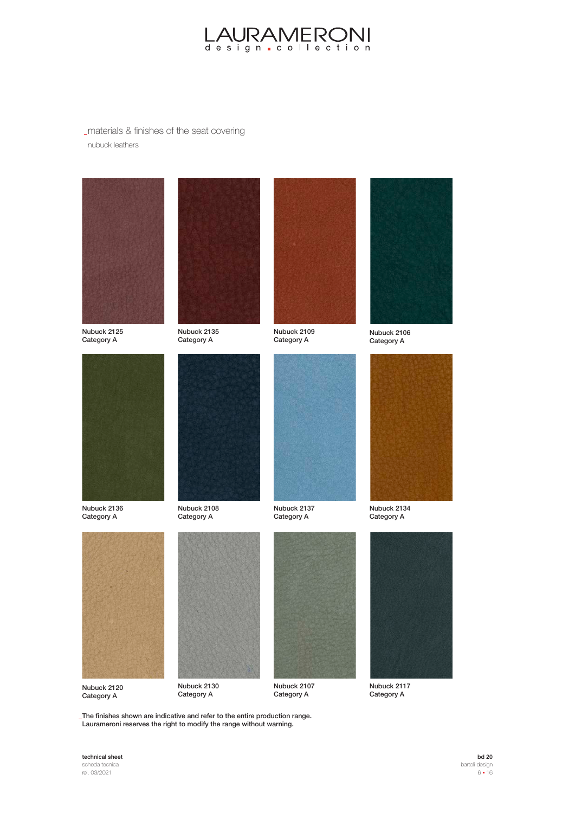

# materials & finishes of the seat covering nubuck leathers







Nubuck 2135 Category A



Nubuck 2109 Category A



Nubuck 2106 Category A



Nubuck 2136 Category A



Nubuck 2108 Category A



Category A



Category A



Nubuck 2120 Category A



Category A



Nubuck 2107 Category A



Nubuck 2117 Category A

The finishes shown are indicative and refer to the entire production range. **\_** Laurameroni reserves the right to modify the range without warning.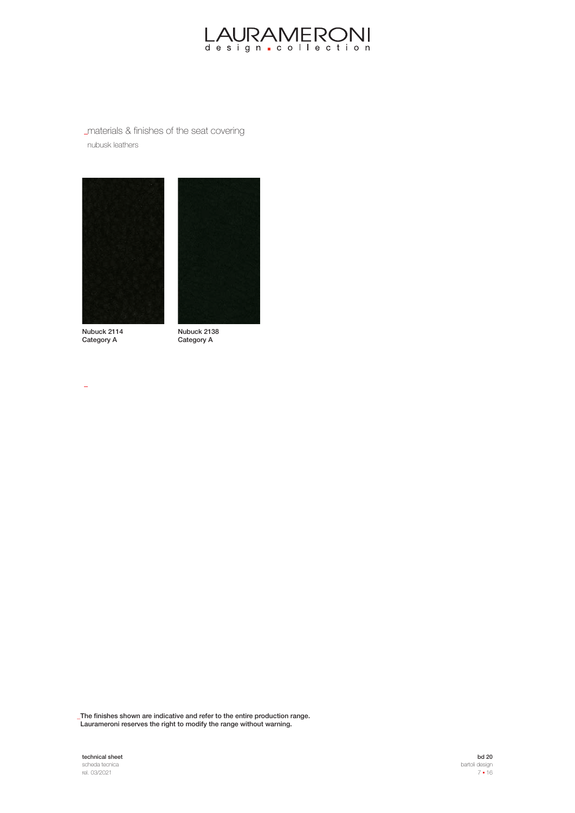

materials & finishes of the seat covering nubusk leathers





Nubuck 2114 Category A

 $\overline{a}$ 

Nubuck 2138 Category A

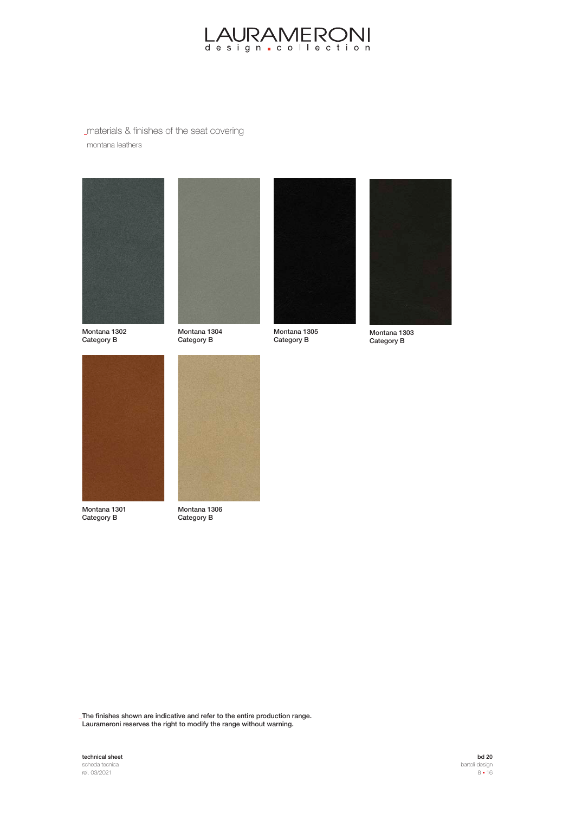

## materials & finishes of the seat covering montana leathers



Montana 1302 Category B



Montana 1304 Category B



Montana 1305 Category B



Montana 1303 Category B



Montana 1301 Category B



Montana 1306 Category B

The finishes shown are indicative and refer to the entire production range. **\_** Laurameroni reserves the right to modify the range without warning.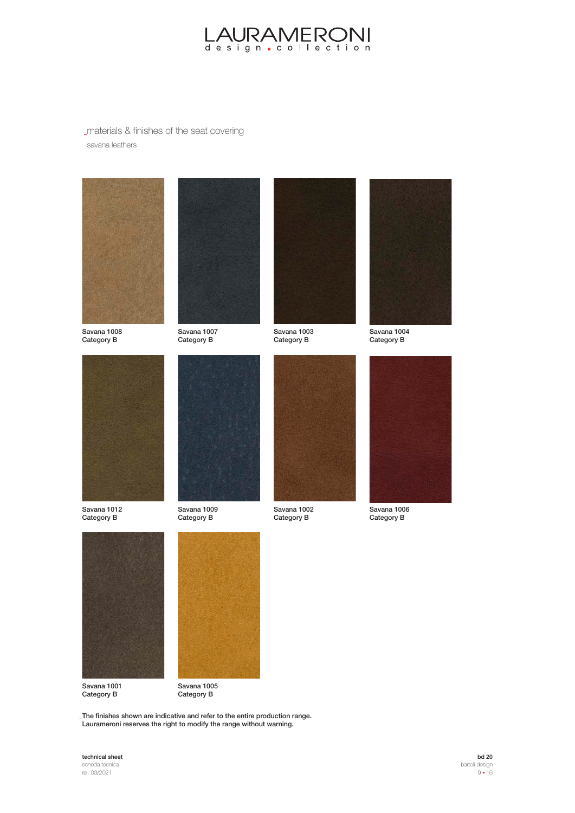

## materials & finishes of the seat covering savana leathers







Savana 1007 Category B



Savana 1003 Category B



Savana 1004 Category B



Savana 1012 Category B



Savana 1009 Category B



Category B



Savana 1006 Category B



Savana 1001 Category B



Category B

The finishes shown are indicative and refer to the entire production range. **\_** Laurameroni reserves the right to modify the range without warning.

#### technical sheet scheda tecnica

rel. 03/2021

bd 20 bartoli design  $9 - 16$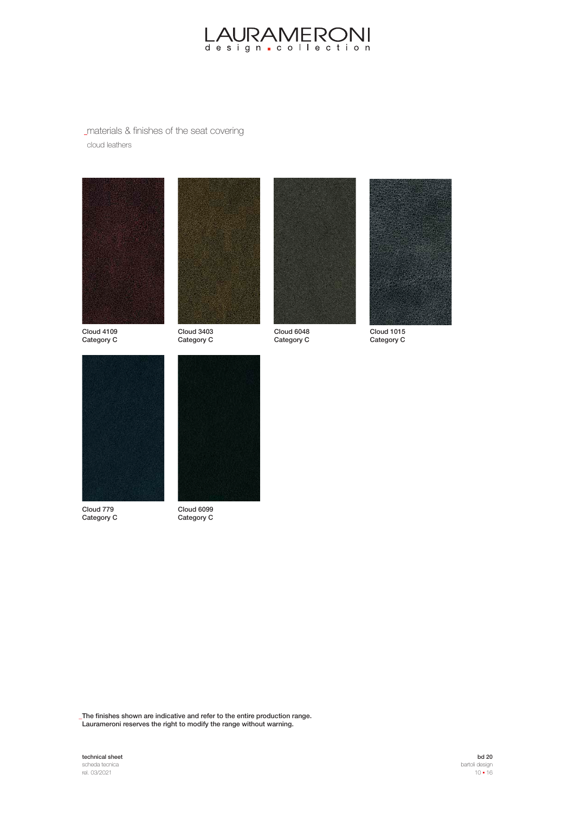

materials & finishes of the seat covering cloud leathers







Cloud 6048 Category C



Cloud 1015 Category C





Cloud 779 Category C



Cloud 6099 Category C

Cloud 3403 Category C

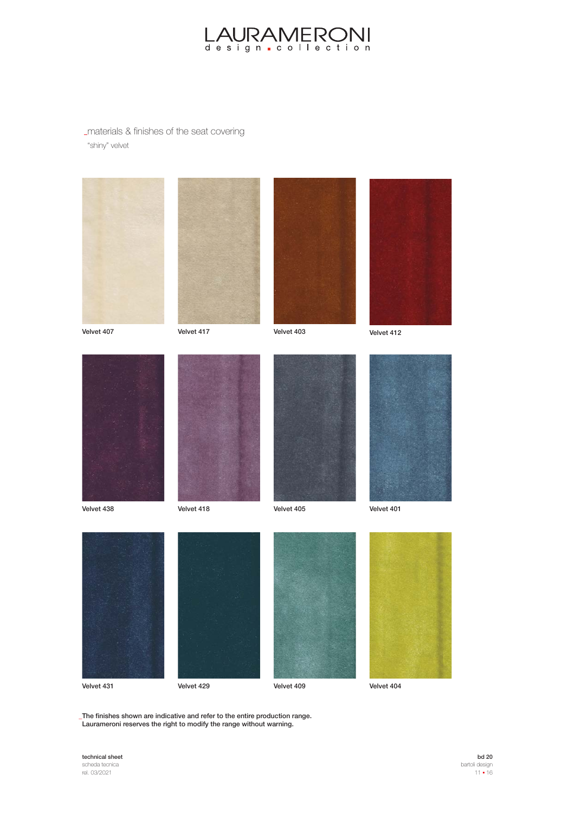

### materials & finishes of the seat covering "shiny" velvet























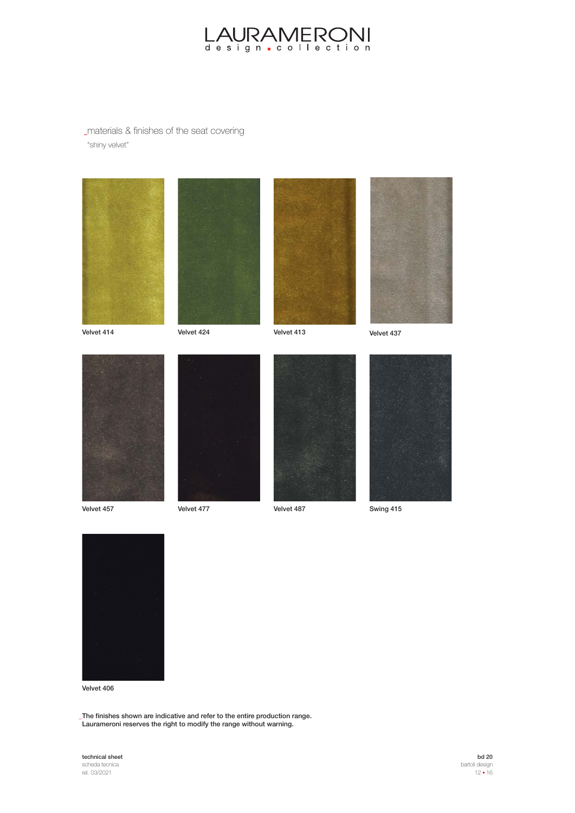

## materials & finishes of the seat covering "shiny velvet"







Velvet 414 Velvet 413 Velvet 424

Velvet 437

















Velvet 406

The finishes shown are indicative and refer to the entire production range. **\_** Laurameroni reserves the right to modify the range without warning.

# technical sheet

scheda tecnica rel. 03/2021

bd 20 bartoli design  $12 - 16$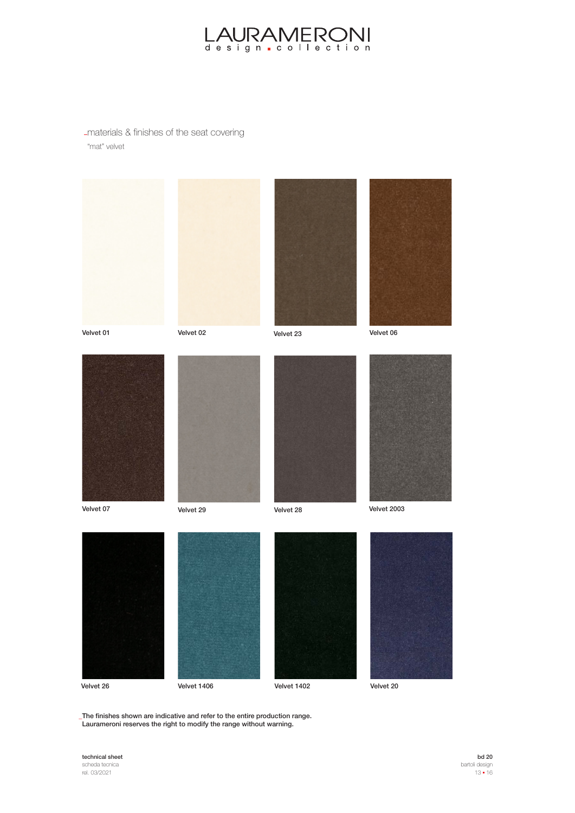

materials & finishes of the seat covering "mat" velvet

















Velvet 2003





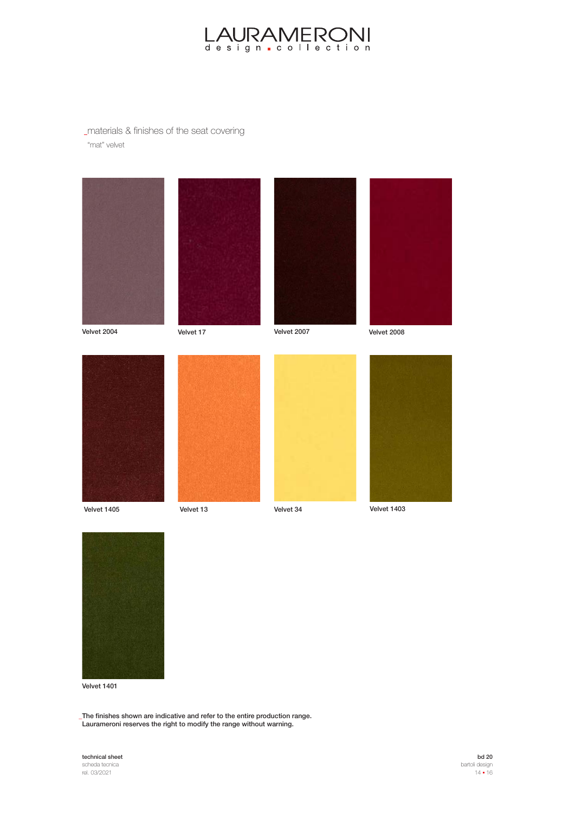

## materials & finishes of the seat covering "mat" velvet



Velvet 2004

Velvet 17 Velvet 2007 Velvet 2008













Velvet 1401

The finishes shown are indicative and refer to the entire production range. **\_** Laurameroni reserves the right to modify the range without warning.

# technical sheet

scheda tecnica rel. 03/2021

bd 20 bartoli design  $14 = 16$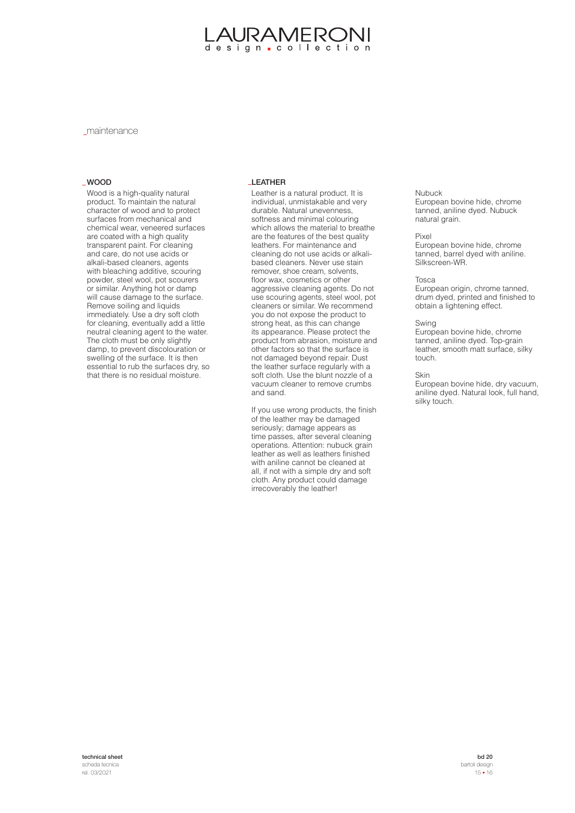# AURAMERON design collection

maintenance

Wood is a high-quality natural product. To maintain the natural character of wood and to protect surfaces from mechanical and chemical wear, veneered surfaces are coated with a high quality transparent paint. For cleaning and care, do not use acids or alkali-based cleaners, agents with bleaching additive, scouring powder, steel wool, pot scourers or similar. Anything hot or damp will cause damage to the surface. Remove soiling and liquids immediately. Use a dry soft cloth for cleaning, eventually add a little neutral cleaning agent to the water. The cloth must be only slightly damp, to prevent discolouration or swelling of the surface. It is then essential to rub the surfaces dry, so that there is no residual moisture.

#### WOOD LEATHER

Leather is a natural product. It is individual, unmistakable and very durable. Natural unevenness, softness and minimal colouring which allows the material to breathe are the features of the best quality leathers. For maintenance and cleaning do not use acids or alkalibased cleaners. Never use stain remover, shoe cream, solvents, floor wax, cosmetics or other aggressive cleaning agents. Do not use scouring agents, steel wool, pot cleaners or similar. We recommend you do not expose the product to strong heat, as this can change its appearance. Please protect the product from abrasion, moisture and other factors so that the surface is not damaged beyond repair. Dust the leather surface regularly with a soft cloth. Use the blunt nozzle of a vacuum cleaner to remove crumbs and sand.

If you use wrong products, the finish of the leather may be damaged seriously; damage appears as time passes, after several cleaning operations. Attention: nubuck grain leather as well as leathers finished with aniline cannot be cleaned at all, if not with a simple dry and soft cloth. Any product could damage irrecoverably the leather!

#### Nubuck

European bovine hide, chrome tanned, aniline dyed. Nubuck natural grain.

#### Pixel

European bovine hide, chrome tanned, barrel dyed with aniline. Silkscreen-WR.

#### Tosca

European origin, chrome tanned, drum dyed, printed and finished to obtain a lightening effect.

#### Swing

European bovine hide, chrome tanned, aniline dyed. Top-grain leather, smooth matt surface, silky touch.

#### Skin

European bovine hide, dry vacuum, aniline dyed. Natural look, full hand, silky touch.